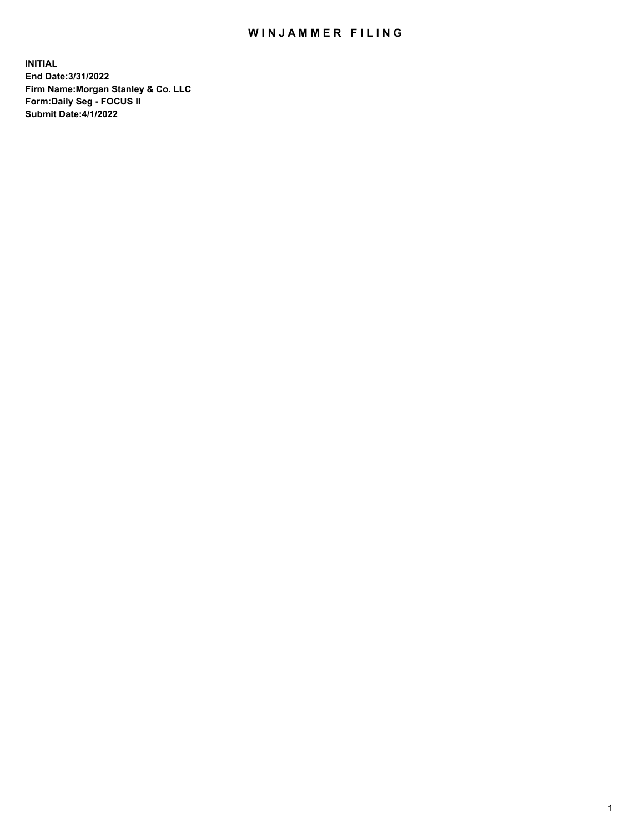## WIN JAMMER FILING

**INITIAL End Date:3/31/2022 Firm Name:Morgan Stanley & Co. LLC Form:Daily Seg - FOCUS II Submit Date:4/1/2022**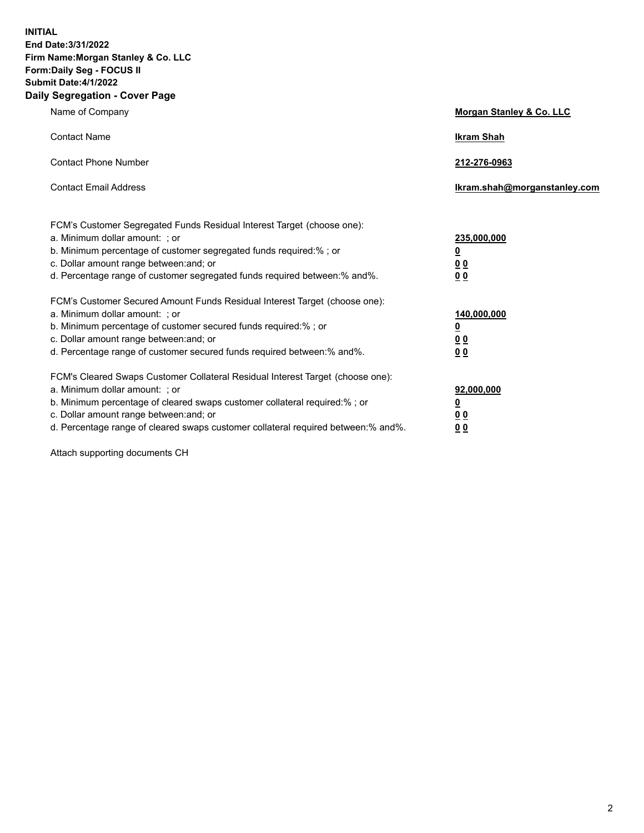**INITIAL End Date:3/31/2022 Firm Name:Morgan Stanley & Co. LLC Form:Daily Seg - FOCUS II Submit Date:4/1/2022 Daily Segregation - Cover Page**

| Name of Company                                                                                                                                                                                                                                                                                                                | Morgan Stanley & Co. LLC                                |
|--------------------------------------------------------------------------------------------------------------------------------------------------------------------------------------------------------------------------------------------------------------------------------------------------------------------------------|---------------------------------------------------------|
| <b>Contact Name</b>                                                                                                                                                                                                                                                                                                            | <b>Ikram Shah</b>                                       |
| <b>Contact Phone Number</b>                                                                                                                                                                                                                                                                                                    | 212-276-0963                                            |
| <b>Contact Email Address</b>                                                                                                                                                                                                                                                                                                   | Ikram.shah@morganstanley.com                            |
| FCM's Customer Segregated Funds Residual Interest Target (choose one):<br>a. Minimum dollar amount: ; or<br>b. Minimum percentage of customer segregated funds required:% ; or<br>c. Dollar amount range between: and; or<br>d. Percentage range of customer segregated funds required between:% and%.                         | 235,000,000<br><u>0</u><br>0 <sup>0</sup><br>00         |
| FCM's Customer Secured Amount Funds Residual Interest Target (choose one):<br>a. Minimum dollar amount: ; or<br>b. Minimum percentage of customer secured funds required:%; or<br>c. Dollar amount range between: and; or<br>d. Percentage range of customer secured funds required between:% and%.                            | 140,000,000<br><u>0</u><br><u>0 0</u><br>0 <sub>0</sub> |
| FCM's Cleared Swaps Customer Collateral Residual Interest Target (choose one):<br>a. Minimum dollar amount: ; or<br>b. Minimum percentage of cleared swaps customer collateral required:% ; or<br>c. Dollar amount range between: and; or<br>d. Percentage range of cleared swaps customer collateral required between:% and%. | 92,000,000<br><u>0</u><br><u>00</u><br>0 <sub>0</sub>   |

Attach supporting documents CH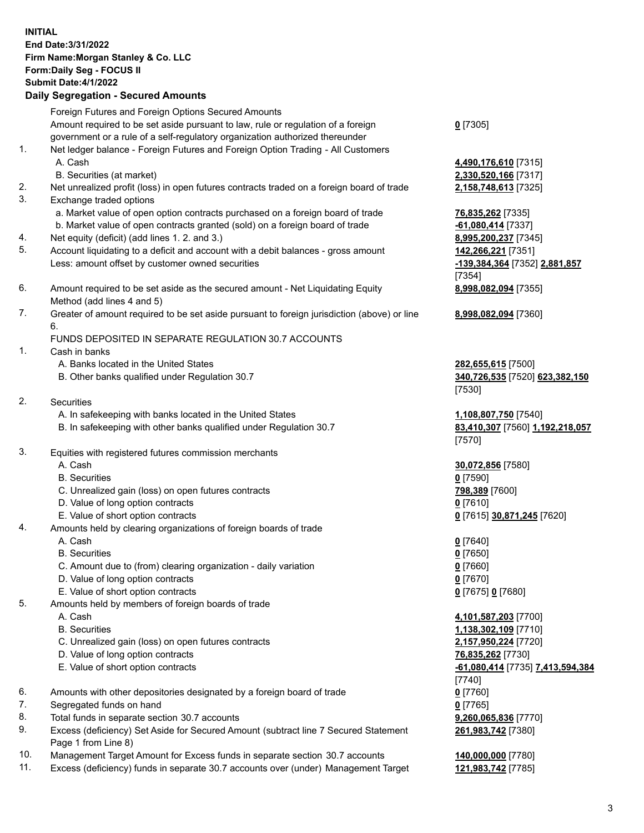| <b>INITIAL</b> | End Date: 3/31/2022<br>Firm Name: Morgan Stanley & Co. LLC<br>Form: Daily Seg - FOCUS II<br><b>Submit Date: 4/1/2022</b><br><b>Daily Segregation - Secured Amounts</b> |                                                                |
|----------------|------------------------------------------------------------------------------------------------------------------------------------------------------------------------|----------------------------------------------------------------|
|                | Foreign Futures and Foreign Options Secured Amounts                                                                                                                    |                                                                |
|                | Amount required to be set aside pursuant to law, rule or regulation of a foreign<br>government or a rule of a self-regulatory organization authorized thereunder       | $0$ [7305]                                                     |
| 1.             | Net ledger balance - Foreign Futures and Foreign Option Trading - All Customers<br>A. Cash                                                                             | 4,490,176,610 [7315]                                           |
| 2.<br>3.       | B. Securities (at market)<br>Net unrealized profit (loss) in open futures contracts traded on a foreign board of trade<br>Exchange traded options                      | 2,330,520,166 [7317]<br>2,158,748,613 [7325]                   |
|                | a. Market value of open option contracts purchased on a foreign board of trade                                                                                         | <b>76,835,262</b> [7335]                                       |
| 4.<br>5.       | b. Market value of open contracts granted (sold) on a foreign board of trade<br>Net equity (deficit) (add lines 1. 2. and 3.)                                          | -61,080,414 [7337]<br>8,995,200,237 [7345]                     |
|                | Account liquidating to a deficit and account with a debit balances - gross amount<br>Less: amount offset by customer owned securities                                  | 142,266,221 [7351]<br>-139,384,364 [7352] 2,881,857<br>[7354]  |
| 6.             | Amount required to be set aside as the secured amount - Net Liquidating Equity<br>Method (add lines 4 and 5)                                                           | 8,998,082,094 [7355]                                           |
| 7.             | Greater of amount required to be set aside pursuant to foreign jurisdiction (above) or line<br>6.                                                                      | 8,998,082,094 [7360]                                           |
| 1.             | FUNDS DEPOSITED IN SEPARATE REGULATION 30.7 ACCOUNTS<br>Cash in banks                                                                                                  |                                                                |
|                | A. Banks located in the United States<br>B. Other banks qualified under Regulation 30.7                                                                                | 282,655,615 [7500]<br>340,726,535 [7520] 623,382,150<br>[7530] |
| 2.             | <b>Securities</b><br>A. In safekeeping with banks located in the United States                                                                                         | 1,108,807,750 [7540]                                           |
|                | B. In safekeeping with other banks qualified under Regulation 30.7                                                                                                     | 83,410,307 [7560] 1,192,218,057<br>[7570]                      |
| 3.             | Equities with registered futures commission merchants                                                                                                                  |                                                                |
|                | A. Cash                                                                                                                                                                | 30,072,856 [7580]                                              |
|                | <b>B.</b> Securities                                                                                                                                                   | $0$ [7590]                                                     |
|                | C. Unrealized gain (loss) on open futures contracts                                                                                                                    | 798,389 [7600]                                                 |
|                | D. Value of long option contracts<br>E. Value of short option contracts                                                                                                | $0$ [7610]                                                     |
| 4.             | Amounts held by clearing organizations of foreign boards of trade                                                                                                      | 0 [7615] 30,871,245 [7620]                                     |
|                | A. Cash                                                                                                                                                                | $0$ [7640]                                                     |
|                | <b>B.</b> Securities                                                                                                                                                   | $0$ [7650]                                                     |
|                | C. Amount due to (from) clearing organization - daily variation                                                                                                        | $0$ [7660]                                                     |
|                | D. Value of long option contracts                                                                                                                                      | $0$ [7670]                                                     |
|                | E. Value of short option contracts                                                                                                                                     | 0 [7675] 0 [7680]                                              |
| 5.             | Amounts held by members of foreign boards of trade                                                                                                                     |                                                                |
|                | A. Cash                                                                                                                                                                | 4,101,587,203 [7700]                                           |
|                | <b>B.</b> Securities                                                                                                                                                   | 1,138,302,109 [7710]                                           |
|                | C. Unrealized gain (loss) on open futures contracts<br>D. Value of long option contracts                                                                               | 2,157,950,224 [7720]<br>76,835,262 [7730]                      |
|                | E. Value of short option contracts                                                                                                                                     | -61,080,414 [7735] 7,413,594,384<br>$[7740]$                   |
| 6.             | Amounts with other depositories designated by a foreign board of trade                                                                                                 | $0$ [7760]                                                     |
| 7.             | Segregated funds on hand                                                                                                                                               | $0$ [7765]                                                     |
| 8.             | Total funds in separate section 30.7 accounts                                                                                                                          | 9,260,065,836 [7770]                                           |

- 9. Excess (deficiency) Set Aside for Secured Amount (subtract line 7 Secured Statement Page 1 from Line 8)
- 10. Management Target Amount for Excess funds in separate section 30.7 accounts **140,000,000** [7780]
- 11. Excess (deficiency) funds in separate 30.7 accounts over (under) Management Target **121,983,742** [7785]

**261,983,742** [7380]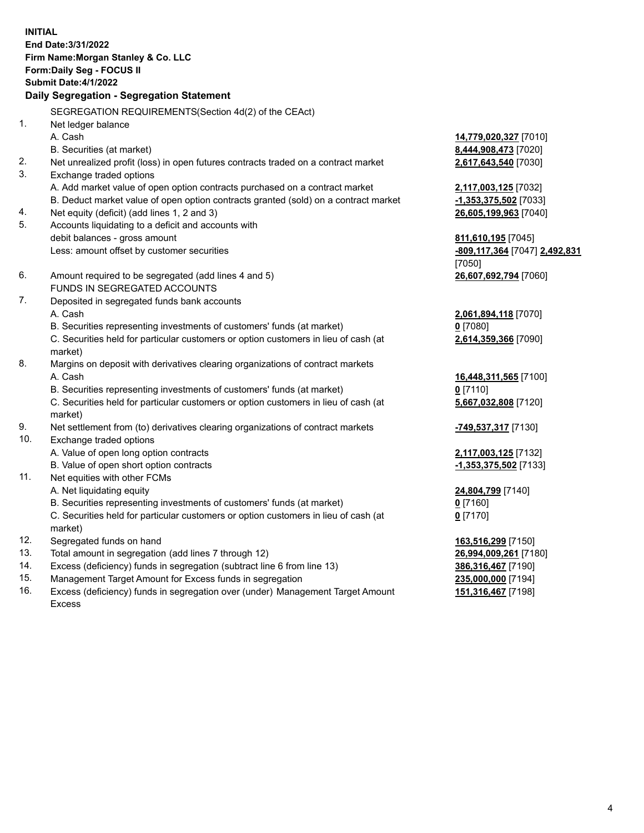**INITIAL End Date:3/31/2022 Firm Name:Morgan Stanley & Co. LLC Form:Daily Seg - FOCUS II Submit Date:4/1/2022 Daily Segregation - Segregation Statement** SEGREGATION REQUIREMENTS(Section 4d(2) of the CEAct) 1. Net ledger balance A. Cash **14,779,020,327** [7010] B. Securities (at market) **8,444,908,473** [7020] 2. Net unrealized profit (loss) in open futures contracts traded on a contract market **2,617,643,540** [7030] 3. Exchange traded options A. Add market value of open option contracts purchased on a contract market **2,117,003,125** [7032] B. Deduct market value of open option contracts granted (sold) on a contract market **-1,353,375,502** [7033] 4. Net equity (deficit) (add lines 1, 2 and 3) **26,605,199,963** [7040] 5. Accounts liquidating to a deficit and accounts with debit balances - gross amount **811,610,195** [7045] Less: amount offset by customer securities **-809,117,364** [7047] **2,492,831** [7050] 6. Amount required to be segregated (add lines 4 and 5) **26,607,692,794** [7060] FUNDS IN SEGREGATED ACCOUNTS 7. Deposited in segregated funds bank accounts A. Cash **2,061,894,118** [7070] B. Securities representing investments of customers' funds (at market) **0** [7080] C. Securities held for particular customers or option customers in lieu of cash (at market) **2,614,359,366** [7090] 8. Margins on deposit with derivatives clearing organizations of contract markets A. Cash **16,448,311,565** [7100] B. Securities representing investments of customers' funds (at market) **0** [7110] C. Securities held for particular customers or option customers in lieu of cash (at market) **5,667,032,808** [7120] 9. Net settlement from (to) derivatives clearing organizations of contract markets **-749,537,317** [7130] 10. Exchange traded options A. Value of open long option contracts **2,117,003,125** [7132] B. Value of open short option contracts **-1,353,375,502** [7133] 11. Net equities with other FCMs A. Net liquidating equity **24,804,799** [7140] B. Securities representing investments of customers' funds (at market) **0** [7160] C. Securities held for particular customers or option customers in lieu of cash (at market) **0** [7170] 12. Segregated funds on hand **163,516,299** [7150] 13. Total amount in segregation (add lines 7 through 12) **26,994,009,261** [7180] 14. Excess (deficiency) funds in segregation (subtract line 6 from line 13) **386,316,467** [7190] 15. Management Target Amount for Excess funds in segregation **235,000,000** [7194]

16. Excess (deficiency) funds in segregation over (under) Management Target Amount Excess

**151,316,467** [7198]